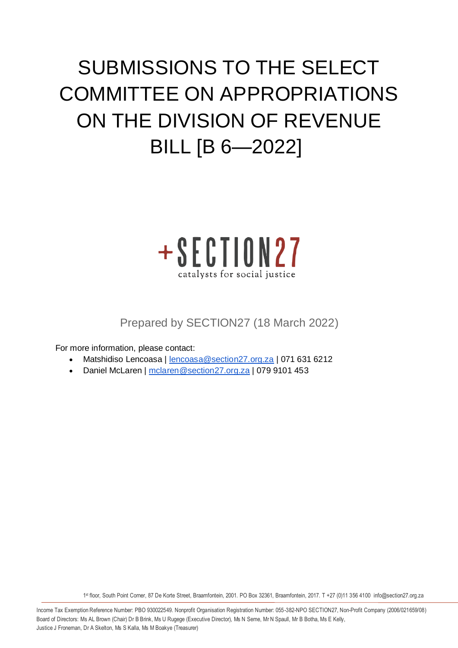# SUBMISSIONS TO THE SELECT COMMITTEE ON APPROPRIATIONS ON THE DIVISION OF REVENUE BILL [B 6—2022]



Prepared by SECTION27 (18 March 2022)

For more information, please contact:

- Matshidiso Lencoasa | [lencoasa@section27.org.za](mailto:lencoasa@section27.org.za) | 071 631 6212
- Daniel McLaren | [mclaren@section27.org.za](mailto:mclaren@section27.org.za) | 079 9101 453

1 st floor, South Point Corner, 87 De Korte Street, Braamfontein, 2001. PO Box 32361, Braamfontein, 2017. T +27 (0)11 356 4100 info@section27.org.za

**www.section27.org.za**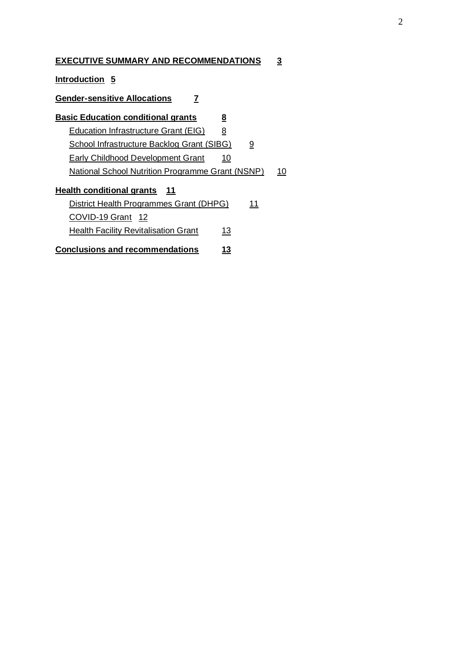#### **[EXECUTIVE SUMMARY AND RECOMMENDATIONS](https://docs.google.com/document/d/1Mh13z9AqEjSOx5Cq60An6GsHrxTwKL9fDjf8IjKJnQI/edit#heading=h.p0fv58m6oqcy) 3**

**[Introduction](https://docs.google.com/document/d/1Mh13z9AqEjSOx5Cq60An6GsHrxTwKL9fDjf8IjKJnQI/edit#heading=h.f03bxcbod5r9) 5**

#### **[Gender-sensitive Allocations](https://docs.google.com/document/d/1Mh13z9AqEjSOx5Cq60An6GsHrxTwKL9fDjf8IjKJnQI/edit#heading=h.c69spu1klaxb) 7**

| <b>Basic Education conditional grants</b>         | 8  |          |  |
|---------------------------------------------------|----|----------|--|
| Education Infrastructure Grant (EIG)              | 8  |          |  |
| <b>School Infrastructure Backlog Grant (SIBG)</b> |    | <u>១</u> |  |
| Early Childhood Development Grant                 | 10 |          |  |
| National School Nutrition Programme Grant (NSNP)  |    |          |  |
| Health conditional grants 11                      |    |          |  |
| District Health Programmes Grant (DHPG)           |    | 11       |  |
| COVID-19 Grant 12                                 |    |          |  |
| <b>Health Facility Revitalisation Grant</b>       | 13 |          |  |
| <b>Conclusions and recommendations</b>            | 13 |          |  |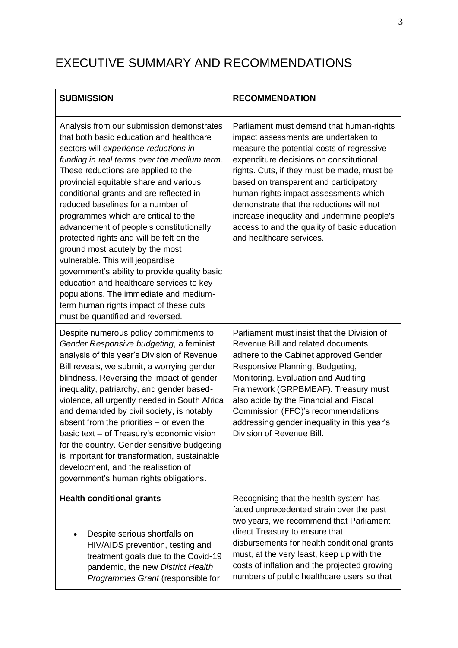# EXECUTIVE SUMMARY AND RECOMMENDATIONS

| <b>SUBMISSION</b>                                                                                                                                                                                                                                                                                                                                                                                                                                                                                                                                                                                                                                                                                                                                                          | <b>RECOMMENDATION</b>                                                                                                                                                                                                                                                                                                                                                                                                                                                            |
|----------------------------------------------------------------------------------------------------------------------------------------------------------------------------------------------------------------------------------------------------------------------------------------------------------------------------------------------------------------------------------------------------------------------------------------------------------------------------------------------------------------------------------------------------------------------------------------------------------------------------------------------------------------------------------------------------------------------------------------------------------------------------|----------------------------------------------------------------------------------------------------------------------------------------------------------------------------------------------------------------------------------------------------------------------------------------------------------------------------------------------------------------------------------------------------------------------------------------------------------------------------------|
| Analysis from our submission demonstrates<br>that both basic education and healthcare<br>sectors will experience reductions in<br>funding in real terms over the medium term.<br>These reductions are applied to the<br>provincial equitable share and various<br>conditional grants and are reflected in<br>reduced baselines for a number of<br>programmes which are critical to the<br>advancement of people's constitutionally<br>protected rights and will be felt on the<br>ground most acutely by the most<br>vulnerable. This will jeopardise<br>government's ability to provide quality basic<br>education and healthcare services to key<br>populations. The immediate and medium-<br>term human rights impact of these cuts<br>must be quantified and reversed. | Parliament must demand that human-rights<br>impact assessments are undertaken to<br>measure the potential costs of regressive<br>expenditure decisions on constitutional<br>rights. Cuts, if they must be made, must be<br>based on transparent and participatory<br>human rights impact assessments which<br>demonstrate that the reductions will not<br>increase inequality and undermine people's<br>access to and the quality of basic education<br>and healthcare services. |
| Despite numerous policy commitments to<br>Gender Responsive budgeting, a feminist<br>analysis of this year's Division of Revenue<br>Bill reveals, we submit, a worrying gender<br>blindness. Reversing the impact of gender<br>inequality, patriarchy, and gender based-<br>violence, all urgently needed in South Africa<br>and demanded by civil society, is notably<br>absent from the priorities $-$ or even the<br>basic text - of Treasury's economic vision<br>for the country. Gender sensitive budgeting<br>is important for transformation, sustainable<br>development, and the realisation of<br>government's human rights obligations.                                                                                                                         | Parliament must insist that the Division of<br>Revenue Bill and related documents<br>adhere to the Cabinet approved Gender<br>Responsive Planning, Budgeting,<br>Monitoring, Evaluation and Auditing<br>Framework (GRPBMEAF). Treasury must<br>also abide by the Financial and Fiscal<br>Commission (FFC)'s recommendations<br>addressing gender inequality in this year's<br>Division of Revenue Bill.                                                                          |
| <b>Health conditional grants</b><br>Despite serious shortfalls on<br>HIV/AIDS prevention, testing and<br>treatment goals due to the Covid-19<br>pandemic, the new District Health<br>Programmes Grant (responsible for                                                                                                                                                                                                                                                                                                                                                                                                                                                                                                                                                     | Recognising that the health system has<br>faced unprecedented strain over the past<br>two years, we recommend that Parliament<br>direct Treasury to ensure that<br>disbursements for health conditional grants<br>must, at the very least, keep up with the<br>costs of inflation and the projected growing<br>numbers of public healthcare users so that                                                                                                                        |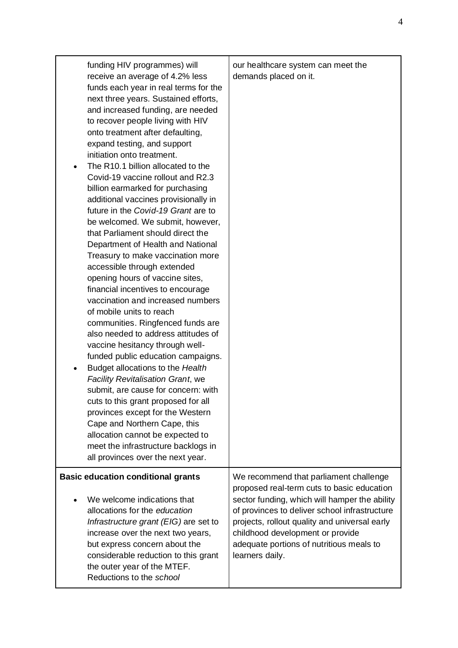| funding HIV programmes) will<br>receive an average of 4.2% less<br>funds each year in real terms for the<br>next three years. Sustained efforts,<br>and increased funding, are needed<br>to recover people living with HIV<br>onto treatment after defaulting,<br>expand testing, and support<br>initiation onto treatment.<br>The R10.1 billion allocated to the<br>Covid-19 vaccine rollout and R2.3<br>billion earmarked for purchasing<br>additional vaccines provisionally in<br>future in the Covid-19 Grant are to<br>be welcomed. We submit, however,<br>that Parliament should direct the<br>Department of Health and National<br>Treasury to make vaccination more<br>accessible through extended<br>opening hours of vaccine sites,<br>financial incentives to encourage<br>vaccination and increased numbers<br>of mobile units to reach<br>communities. Ringfenced funds are<br>also needed to address attitudes of<br>vaccine hesitancy through well-<br>funded public education campaigns.<br>Budget allocations to the Health<br><b>Facility Revitalisation Grant, we</b><br>submit, are cause for concern: with<br>cuts to this grant proposed for all<br>provinces except for the Western<br>Cape and Northern Cape, this<br>allocation cannot be expected to<br>meet the infrastructure backlogs in<br>all provinces over the next year. | our healthcare system can meet the<br>demands placed on it.                                                                                                                                                                                        |
|-------------------------------------------------------------------------------------------------------------------------------------------------------------------------------------------------------------------------------------------------------------------------------------------------------------------------------------------------------------------------------------------------------------------------------------------------------------------------------------------------------------------------------------------------------------------------------------------------------------------------------------------------------------------------------------------------------------------------------------------------------------------------------------------------------------------------------------------------------------------------------------------------------------------------------------------------------------------------------------------------------------------------------------------------------------------------------------------------------------------------------------------------------------------------------------------------------------------------------------------------------------------------------------------------------------------------------------------------------------|----------------------------------------------------------------------------------------------------------------------------------------------------------------------------------------------------------------------------------------------------|
| <b>Basic education conditional grants</b><br>We welcome indications that                                                                                                                                                                                                                                                                                                                                                                                                                                                                                                                                                                                                                                                                                                                                                                                                                                                                                                                                                                                                                                                                                                                                                                                                                                                                                    | We recommend that parliament challenge<br>proposed real-term cuts to basic education                                                                                                                                                               |
| allocations for the education<br>Infrastructure grant (EIG) are set to<br>increase over the next two years,<br>but express concern about the<br>considerable reduction to this grant<br>the outer year of the MTEF.<br>Reductions to the school                                                                                                                                                                                                                                                                                                                                                                                                                                                                                                                                                                                                                                                                                                                                                                                                                                                                                                                                                                                                                                                                                                             | sector funding, which will hamper the ability<br>of provinces to deliver school infrastructure<br>projects, rollout quality and universal early<br>childhood development or provide<br>adequate portions of nutritious meals to<br>learners daily. |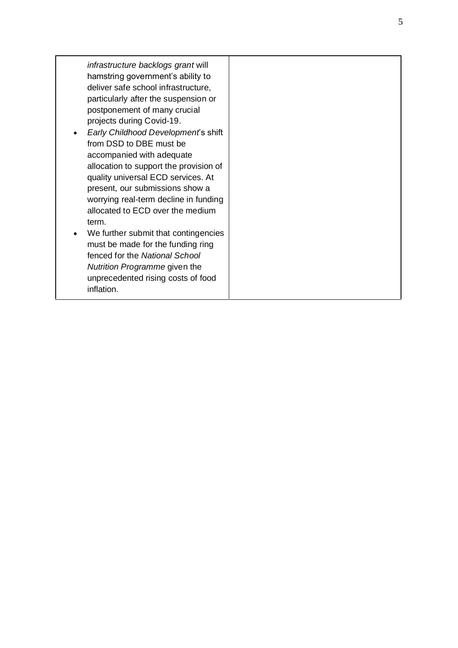*infrastructure backlogs gran t* will hamstring government's ability to deliver safe school infrastructure, particularly after the suspension or postponement of many crucial projects during Covid -19 .

- *Early Childhood Developmen t*'s shift from DSD to DBE must be accompanied with adequate allocation to support the provision of quality universal ECD services. At present, our submissions show a worrying real -term decline in funding allocated to ECD over the medium term .
- We further submit that contingencies must be made for the funding ring fenced for the *National School Nutrition Programm e* given the unprecedented rising costs of food inflation .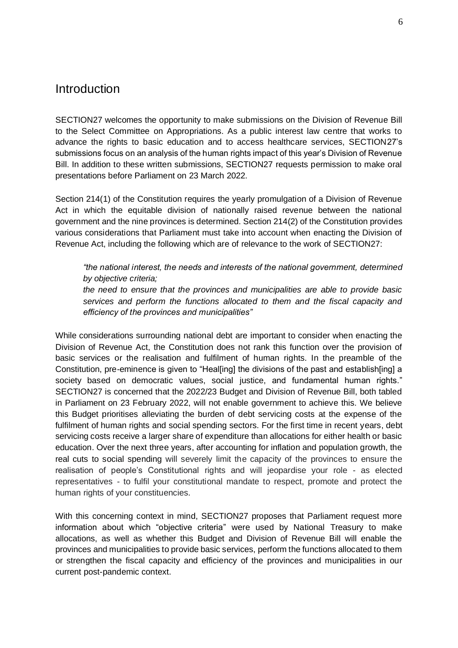#### **Introduction**

SECTION27 welcomes the opportunity to make submissions on the Division of Revenue Bill to the Select Committee on Appropriations. As a public interest law centre that works to advance the rights to basic education and to access healthcare services, SECTION27's submissions focus on an analysis of the human rights impact of this year's Division of Revenue Bill. In addition to these written submissions, SECTION27 requests permission to make oral presentations before Parliament on 23 March 2022.

Section 214(1) of the Constitution requires the yearly promulgation of a Division of Revenue Act in which the equitable division of nationally raised revenue between the national government and the nine provinces is determined. Section 214(2) of the Constitution provides various considerations that Parliament must take into account when enacting the Division of Revenue Act, including the following which are of relevance to the work of SECTION27:

*"the national interest, the needs and interests of the national government, determined by objective criteria;*

*the need to ensure that the provinces and municipalities are able to provide basic services and perform the functions allocated to them and the fiscal capacity and efficiency of the provinces and municipalities"*

While considerations surrounding national debt are important to consider when enacting the Division of Revenue Act, the Constitution does not rank this function over the provision of basic services or the realisation and fulfilment of human rights. In the preamble of the Constitution, pre-eminence is given to "Heal[ing] the divisions of the past and establish[ing] a society based on democratic values, social justice, and fundamental human rights." SECTION27 is concerned that the 2022/23 Budget and Division of Revenue Bill, both tabled in Parliament on 23 February 2022, will not enable government to achieve this. We believe this Budget prioritises alleviating the burden of debt servicing costs at the expense of the fulfilment of human rights and social spending sectors. For the first time in recent years, debt servicing costs receive a larger share of expenditure than allocations for either health or basic education. Over the next three years, after accounting for inflation and population growth, the real cuts to social spending will severely limit the capacity of the provinces to ensure the realisation of people's Constitutional rights and will jeopardise your role - as elected representatives - to fulfil your constitutional mandate to respect, promote and protect the human rights of your constituencies.

With this concerning context in mind, SECTION27 proposes that Parliament request more information about which "objective criteria" were used by National Treasury to make allocations, as well as whether this Budget and Division of Revenue Bill will enable the provinces and municipalities to provide basic services, perform the functions allocated to them or strengthen the fiscal capacity and efficiency of the provinces and municipalities in our current post-pandemic context.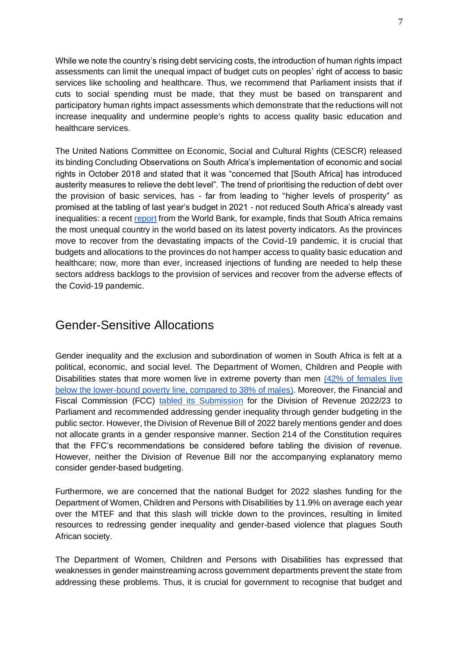While we note the country's rising debt servicing costs, the introduction of human rights impact assessments can limit the unequal impact of budget cuts on peoples' right of access to basic services like schooling and healthcare. Thus, we recommend that Parliament insists that if cuts to social spending must be made, that they must be based on transparent and participatory human rights impact assessments which demonstrate that the reductions will not increase inequality and undermine people's rights to access quality basic education and healthcare services.

The United Nations Committee on Economic, Social and Cultural Rights (CESCR) released its binding Concluding Observations on South Africa's implementation of economic and social rights in October 2018 and stated that it was "concerned that [South Africa] has introduced austerity measures to relieve the debt level". The trend of prioritising the reduction of debt over the provision of basic services, has - far from leading to "higher levels of prosperity" as promised at the tabling of last year's budget in 2021 - not reduced South Africa's already vast inequalities: a recent [report](https://www.worldbank.org/en/news/press-release/2022/03/09/new-world-bank-report-assesses-sources-of-inequality-in-five-countries-in-southern-africa#:~:text=It%20finds%20that%20the%20Southern,the%20rest%20and%20Lesotho%20the) from the World Bank, for example, finds that South Africa remains the most unequal country in the world based on its latest poverty indicators. As the provinces move to recover from the devastating impacts of the Covid-19 pandemic, it is crucial that budgets and allocations to the provinces do not hamper access to quality basic education and healthcare; now, more than ever, increased injections of funding are needed to help these sectors address backlogs to the provision of services and recover from the adverse effects of the Covid-19 pandemic.

### Gender-Sensitive Allocations

Gender inequality and the exclusion and subordination of women in South Africa is felt at a political, economic, and social level. The Department of Women, Children and People with Disabilities states that more women live in extreme poverty than men [\(42% of females live](http://www.women.gov.za/images/GRPB-framework-250119A.pdf)  [below the lower-bound poverty line, compared to 38% of males\).](http://www.women.gov.za/images/GRPB-framework-250119A.pdf) Moreover, the Financial and Fiscal Commission (FCC) [tabled its Submission](http://www.treasury.gov.za/legislation/bills/2022/%5bB6%20-%202022%5d%20(DoRB).pdf) for the Division of Revenue 2022/23 to Parliament and recommended addressing gender inequality through gender budgeting in the public sector. However, the Division of Revenue Bill of 2022 barely mentions gender and does not allocate grants in a gender responsive manner. Section 214 of the Constitution requires that the FFC's recommendations be considered before tabling the division of revenue. However, neither the Division of Revenue Bill nor the accompanying explanatory memo consider gender-based budgeting.

Furthermore, we are concerned that the national Budget for 2022 slashes funding for the Department of Women, Children and Persons with Disabilities by 11.9% on average each year over the MTEF and that this slash will trickle down to the provinces, resulting in limited resources to redressing gender inequality and gender-based violence that plagues South African society.

The Department of Women, Children and Persons with Disabilities has expressed that weaknesses in gender mainstreaming across government departments prevent the state from addressing these problems. Thus, it is crucial for government to recognise that budget and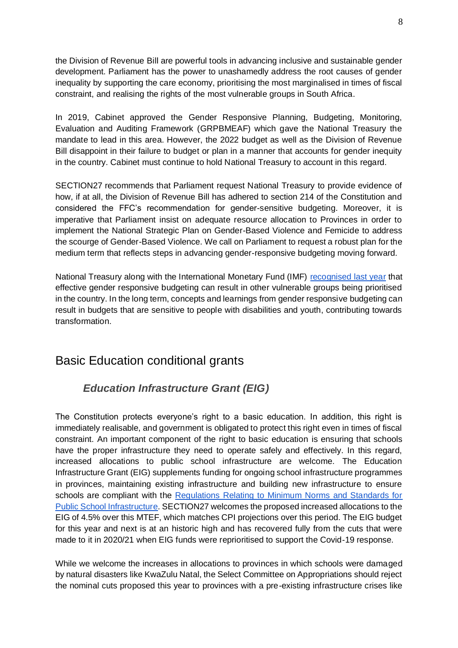the Division of Revenue Bill are powerful tools in advancing inclusive and sustainable gender development. Parliament has the power to unashamedly address the root causes of gender inequality by supporting the care economy, prioritising the most marginalised in times of fiscal constraint, and realising the rights of the most vulnerable groups in South Africa.

In 2019, Cabinet approved the Gender Responsive Planning, Budgeting, Monitoring, Evaluation and Auditing Framework (GRPBMEAF) which gave the National Treasury the mandate to lead in this area. However, the 2022 budget as well as the Division of Revenue Bill disappoint in their failure to budget or plan in a manner that accounts for gender inequity in the country. Cabinet must continue to hold National Treasury to account in this regard.

SECTION27 recommends that Parliament request National Treasury to provide evidence of how, if at all, the Division of Revenue Bill has adhered to section 214 of the Constitution and considered the FFC's recommendation for gender-sensitive budgeting. Moreover, it is imperative that Parliament insist on adequate resource allocation to Provinces in order to implement the National Strategic Plan on Gender-Based Violence and Femicide to address the scourge of Gender-Based Violence. We call on Parliament to request a robust plan for the medium term that reflects steps in advancing gender-responsive budgeting moving forward.

National Treasury along with the International Monetary Fund (IMF) [recognised last year](https://blog-pfm.imf.org/pfmblog/2021/10/-advancing-gender-responsive-budgeting-in-south-africa-.html) that effective gender responsive budgeting can result in other vulnerable groups being prioritised in the country. In the long term, concepts and learnings from gender responsive budgeting can result in budgets that are sensitive to people with disabilities and youth, contributing towards transformation.

### Basic Education conditional grants

#### *Education Infrastructure Grant (EIG)*

The Constitution protects everyone's right to a basic education. In addition, this right is immediately realisable, and government is obligated to protect this right even in times of fiscal constraint. An important component of the right to basic education is ensuring that schools have the proper infrastructure they need to operate safely and effectively. In this regard, increased allocations to public school infrastructure are welcome. The Education Infrastructure Grant (EIG) supplements funding for ongoing school infrastructure programmes in provinces, maintaining existing infrastructure and building new infrastructure to ensure schools are compliant with the [Regulations Relating to Minimum Norms and Standards for](https://www.gov.za/sites/default/files/gcis_document/201409/37081rg10067gon920.pdf)  [Public School Infrastructure.](https://www.gov.za/sites/default/files/gcis_document/201409/37081rg10067gon920.pdf) SECTION27 welcomes the proposed increased allocations to the EIG of 4.5% over this MTEF, which matches CPI projections over this period. The EIG budget for this year and next is at an historic high and has recovered fully from the cuts that were made to it in 2020/21 when EIG funds were reprioritised to support the Covid-19 response.

While we welcome the increases in allocations to provinces in which schools were damaged by natural disasters like KwaZulu Natal, the Select Committee on Appropriations should reject the nominal cuts proposed this year to provinces with a pre-existing infrastructure crises like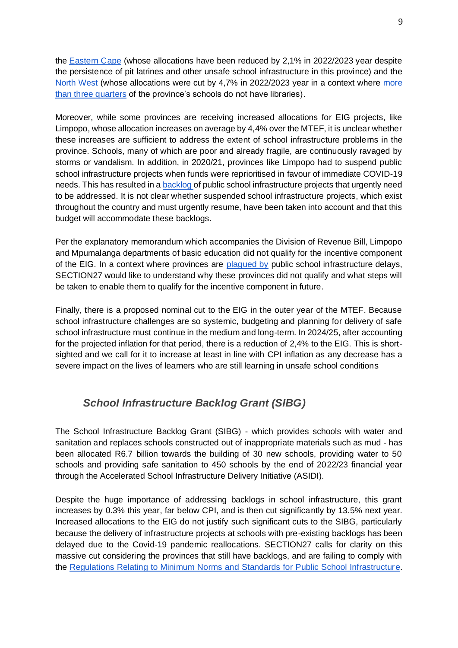the [Eastern Cape](https://www.news24.com/news24/columnists/guestcolumn/opinion-a-perfect-storm-the-struggle-for-school-infrastructure-in-the-eastern-cape-20210408) (whose allocations have been reduced by 2,1% in 2022/2023 year despite the persistence of pit latrines and other unsafe school infrastructure in this province) and the [North West](https://www.iol.co.za/pretoria-news/news/parents-want-70-year-old-relebogile-primary-school-rebuilding-to-start-immediately-5df6320a-fd8b-4b9e-a850-e00f291ebe66) (whose allocations were cut by 4,7% in 2022/2023 year in a context where [more](https://www.education.gov.za/Portals/0/Documents/Reports/NEIMS%20STANDARD%20REPORT%202021.pdf?ver=2021-05-20-094532-570)  [than three quarters](https://www.education.gov.za/Portals/0/Documents/Reports/NEIMS%20STANDARD%20REPORT%202021.pdf?ver=2021-05-20-094532-570) of the province's schools do not have libraries).

Moreover, while some provinces are receiving increased allocations for EIG projects, like Limpopo, whose allocation increases on average by 4,4% over the MTEF, it is unclear whether these increases are sufficient to address the extent of school infrastructure problems in the province. Schools, many of which are poor and already fragile, are continuously ravaged by storms or vandalism. In addition, in 2020/21, provinces like Limpopo had to suspend public school infrastructure projects when funds were reprioritised in favour of immediate COVID-19 needs. This has resulted in a [backlog](https://www.businesslive.co.za/fm/special-reports/2022-02-24-education-for-many-pit-loos-are-to-stay/) of public school infrastructure projects that urgently need to be addressed. It is not clear whether suspended school infrastructure projects, which exist throughout the country and must urgently resume, have been taken into account and that this budget will accommodate these backlogs.

Per the explanatory memorandum which accompanies the Division of Revenue Bill, Limpopo and Mpumalanga departments of basic education did not qualify for the incentive component of the EIG. In a context where provinces are [plagued by](https://www.iol.co.za/news/politics/basic-education-department-again-pushes-back-deadline-for-eradication-of-pit-toilets-at-schools-c3e55637-b4fb-4504-a993-312c2af472be) public school infrastructure delays, SECTION27 would like to understand why these provinces did not qualify and what steps will be taken to enable them to qualify for the incentive component in future.

Finally, there is a proposed nominal cut to the EIG in the outer year of the MTEF. Because school infrastructure challenges are so systemic, budgeting and planning for delivery of safe school infrastructure must continue in the medium and long-term. In 2024/25, after accounting for the projected inflation for that period, there is a reduction of 2,4% to the EIG. This is shortsighted and we call for it to increase at least in line with CPI inflation as any decrease has a severe impact on the lives of learners who are still learning in unsafe school conditions

#### *School Infrastructure Backlog Grant (SIBG)*

The School Infrastructure Backlog Grant (SIBG) - which provides schools with water and sanitation and replaces schools constructed out of inappropriate materials such as mud - has been allocated R6.7 billion towards the building of 30 new schools, providing water to 50 schools and providing safe sanitation to 450 schools by the end of 2022/23 financial year through the Accelerated School Infrastructure Delivery Initiative (ASIDI).

Despite the huge importance of addressing backlogs in school infrastructure, this grant increases by 0.3% this year, far below CPI, and is then cut significantly by 13.5% next year. Increased allocations to the EIG do not justify such significant cuts to the SIBG, particularly because the delivery of infrastructure projects at schools with pre-existing backlogs has been delayed due to the Covid-19 pandemic reallocations. SECTION27 calls for clarity on this massive cut considering the provinces that still have backlogs, and are failing to comply with the [Regulations Relating to Minimum Norms and Standards for Public School Infrastructure.](https://www.gov.za/sites/default/files/gcis_document/201409/37081rg10067gon920.pdf)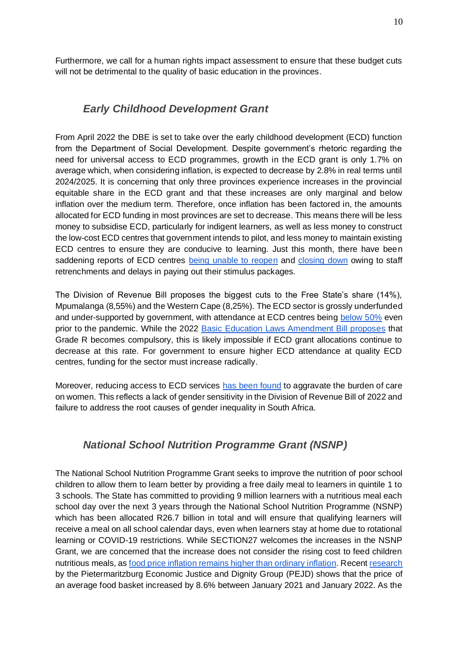Furthermore, we call for a human rights impact assessment to ensure that these budget cuts will not be detrimental to the quality of basic education in the provinces.

#### *Early Childhood Development Grant*

From April 2022 the DBE is set to take over the early childhood development (ECD) function from the Department of Social Development. Despite government's rhetoric regarding the need for universal access to ECD programmes, growth in the ECD grant is only 1.7% on average which, when considering inflation, is expected to decrease by 2.8% in real terms until 2024/2025. It is concerning that only three provinces experience increases in the provincial equitable share in the ECD grant and that these increases are only marginal and below inflation over the medium term. Therefore, once inflation has been factored in, the amounts allocated for ECD funding in most provinces are set to decrease. This means there will be less money to subsidise ECD, particularly for indigent learners, as well as less money to construct the low-cost ECD centres that government intends to pilot, and less money to maintain existing ECD centres to ensure they are conducive to learning. Just this month, there have been saddening reports of ECD centres [being unable to reopen](https://allafrica.com/stories/202202170315.html) and [closing down](https://www.news.uct.ac.za/article/-2021-06-01-we-are-literally-taking-food-out-of-the-mouths-of-babes) owing to staff retrenchments and delays in paying out their stimulus packages.

The Division of Revenue Bill proposes the biggest cuts to the Free State's share (14%), Mpumalanga (8,55%) and the Western Cape (8,25%). The ECD sector is grossly underfunded and under-supported by government, with attendance at ECD centres being [below 50%](https://cramsurvey.org/wp-content/uploads/2021/07/14.-Wills-G-_-Kika-Mistry-J.-2021-Early-Childhood-Development-in-South-Africa-during-the-n-COVID-19-pandemic-Evidence-from-NIDS-CRAM-Waves-2-5.pdf) even prior to the pandemic. While the 2022 [Basic Education Laws Amendment Bill proposes](https://pmg.org.za/bill/1055/) that Grade R becomes compulsory, this is likely impossible if ECD grant allocations continue to decrease at this rate. For government to ensure higher ECD attendance at quality ECD centres, funding for the sector must increase radically.

Moreover, reducing access to ECD services [has been found](https://www.news.uct.ac.za/article/-2021-06-01-we-are-literally-taking-food-out-of-the-mouths-of-babes) to aggravate the burden of care on women. This reflects a lack of gender sensitivity in the Division of Revenue Bill of 2022 and failure to address the root causes of gender inequality in South Africa.

#### *National School Nutrition Programme Grant (NSNP)*

The National School Nutrition Programme Grant seeks to improve the nutrition of poor school children to allow them to learn better by providing a free daily meal to learners in quintile 1 to 3 schools. The State has committed to providing 9 million learners with a nutritious meal each school day over the next 3 years through the National School Nutrition Programme (NSNP) which has been allocated R26.7 billion in total and will ensure that qualifying learners will receive a meal on all school calendar days, even when learners stay at home due to rotational learning or COVID-19 restrictions. While SECTION27 welcomes the increases in the NSNP Grant, we are concerned that the increase does not consider the rising cost to feed children nutritious meals, as [food price inflation remains higher than ordinary inflation.](https://businesstech.co.za/news/finance/553328/triple-blow-for-south-africans-as-food-prices-add-to-consumer-burden/) Recent [research](https://businesstech.co.za/news/finance/553328/triple-blow-for-south-africans-as-food-prices-add-to-consumer-burden/#:~:text=Food%20prices%20December%202021%20to%20January%202022%20%E2%80%93%20big%20changes&text=PMBEJD%20said%20that%20a%202.9,rand%2Dvalue%20increase%20of%20R349.) by the Pietermaritzburg Economic Justice and Dignity Group (PEJD) shows that the price of an average food basket increased by 8.6% between January 2021 and January 2022. As the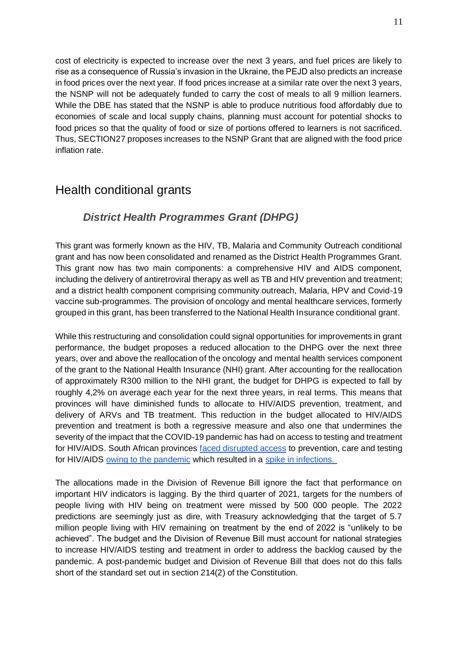cost of electricity is expected to increase over the next 3 years, and fuel prices are likely to rise as a consequence of Russia's invasion in the Ukraine, the PEJD also predicts an increase in food prices over the next year. If food prices increase at a similar rate over the next 3 years, the NSNP will not be adequately funded to carry the cost of meals to all 9 million learners. While the DBE has stated that the NSNP is able to produce nutritious food affordably due to economies of scale and local supply chains, planning must account for potential shocks to food prices so that the quality of food or size of portions offered to learners is not sacrificed. Thus, SECTION27 proposes increases to the NSNP Grant that are aligned with the food price inflation rate.

## Health conditional grants

#### *District Health Programmes Grant (DHPG)*

This grant was formerly known as the HIV, TB, Malaria and Community Outreach conditional grant and has now been consolidated and renamed as the District Health Programmes Grant. This grant now has two main components: a comprehensive HIV and AIDS component, including the delivery of antiretroviral therapy as well as TB and HIV prevention and treatment; and a district health component comprising community outreach, Malaria, HPV and Covid-19 vaccine sub-programmes. The provision of oncology and mental healthcare services, formerly grouped in this grant, has been transferred to the National Health Insurance conditional grant.

While this restructuring and consolidation could signal opportunities for improvements in grant performance, the budget proposes a reduced allocation to the DHPG over the next three years, over and above the reallocation of the oncology and mental health services component of the grant to the National Health Insurance (NHI) grant. After accounting for the reallocation of approximately R300 million to the NHI grant, the budget for DHPG is expected to fall by roughly 4,2% on average each year for the next three years, in real terms. This means that provinces will have diminished funds to allocate to HIV/AIDS prevention, treatment, and delivery of ARVs and TB treatment. This reduction in the budget allocated to HIV/AIDS prevention and treatment is both a regressive measure and also one that undermines the severity of the impact that the COVID-19 pandemic has had on access to testing and treatment for HIV/AIDS. South African provinces **[faced disrupted access](https://www.thelancet.com/journals/lanhiv/article/PIIS2352-3018(20)30359-3/fulltext)** to prevention, care and testing for HIV/AIDS [owing to the pandemic](http://www.samj.org.za/index.php/samj/article/view/13303/9878) which resulted in a [spike in infections.](https://www.voanews.com/a/south-africa-ramps-up-hiv-care-disrupted-during-covid/6468268.html)

The allocations made in the Division of Revenue Bill ignore the fact that performance on important HIV indicators is lagging. By the third quarter of 2021, targets for the numbers of people living with HIV being on treatment were missed by 500 000 people. The 2022 predictions are seemingly just as dire, with Treasury acknowledging that the target of 5.7 million people living with HIV remaining on treatment by the end of 2022 is "unlikely to be achieved". The budget and the Division of Revenue Bill must account for national strategies to increase HIV/AIDS testing and treatment in order to address the backlog caused by the pandemic. A post-pandemic budget and Division of Revenue Bill that does not do this falls short of the standard set out in section 214(2) of the Constitution.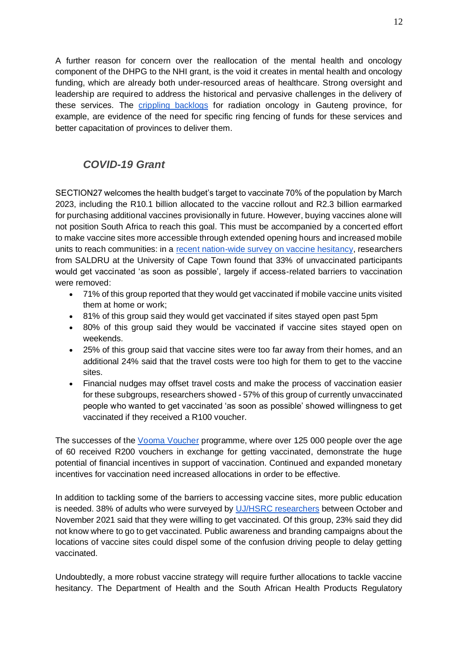A further reason for concern over the reallocation of the mental health and oncology component of the DHPG to the NHI grant, is the void it creates in mental health and oncology funding, which are already both under-resourced areas of healthcare. Strong oversight and leadership are required to address the historical and pervasive challenges in the delivery of these services. The [crippling backlogs](https://www.sahrc.org.za/index.php/sahrc-media/news/item/2712-april-fire-has-put-a-stop-to-cancer-treatment-at-johannesburg-s-charlotte-maxeke-hospital) for radiation oncology in Gauteng province, for example, are evidence of the need for specific ring fencing of funds for these services and better capacitation of provinces to deliver them.

#### *COVID-19 Grant*

SECTION27 welcomes the health budget's target to vaccinate 70% of the population by March 2023, including the R10.1 billion allocated to the vaccine rollout and R2.3 billion earmarked for purchasing additional vaccines provisionally in future. However, buying vaccines alone will not position South Africa to reach this goal. This must be accompanied by a concerted effort to make vaccine sites more accessible through extended opening hours and increased mobile units to reach communities: in a [recent nation-wide survey on vaccine hesitancy,](https://www.opensaldru.uct.ac.za/bitstream/handle/11090/1016/CVACS_Survey_1_KeyFindings_PolicyBrief_2022.02.pdf?sequence=1) researchers from SALDRU at the University of Cape Town found that 33% of unvaccinated participants would get vaccinated 'as soon as possible', largely if access-related barriers to vaccination were removed:

- 71% of this group reported that they would get vaccinated if mobile vaccine units visited them at home or work;
- 81% of this group said they would get vaccinated if sites stayed open past 5pm
- 80% of this group said they would be vaccinated if vaccine sites stayed open on weekends.
- 25% of this group said that vaccine sites were too far away from their homes, and an additional 24% said that the travel costs were too high for them to get to the vaccine sites.
- Financial nudges may offset travel costs and make the process of vaccination easier for these subgroups, researchers showed - 57% of this group of currently unvaccinated people who wanted to get vaccinated 'as soon as possible' showed willingness to get vaccinated if they received a R100 voucher.

The successes of the [Vooma Voucher](https://sacoronavirus.co.za/vooma-voucher-communication/) programme, where over 125 000 people over the age of 60 received R200 vouchers in exchange for getting vaccinated, demonstrate the huge potential of financial incentives in support of vaccination. Continued and expanded monetary incentives for vaccination need increased allocations in order to be effective.

In addition to tackling some of the barriers to accessing vaccine sites, more public education is needed. 38% of adults who were surveyed by [UJ/HSRC researchers](https://www.uj.ac.za/wp-content/uploads/2022/02/2022-02-02-r5-barriers-to-vaccination.pdf) between October and November 2021 said that they were willing to get vaccinated. Of this group, 23% said they did not know where to go to get vaccinated. Public awareness and branding campaigns about the locations of vaccine sites could dispel some of the confusion driving people to delay getting vaccinated.

Undoubtedly, a more robust vaccine strategy will require further allocations to tackle vaccine hesitancy. The Department of Health and the South African Health Products Regulatory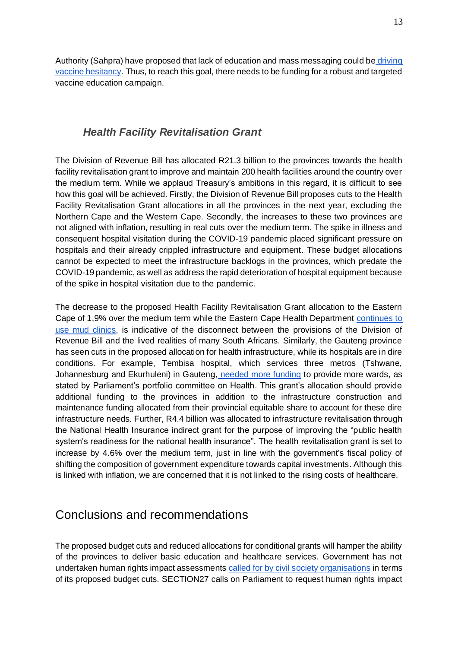Authority (Sahpra) have proposed that lack of education and mass messaging could be [driving](https://www.news24.com/news24/southafrica/news/covid-19-lack-of-education-could-be-driving-vaccine-hesitancy-say-health-authorities-20211110)  [vaccine hesitancy.](https://www.news24.com/news24/southafrica/news/covid-19-lack-of-education-could-be-driving-vaccine-hesitancy-say-health-authorities-20211110) Thus, to reach this goal, there needs to be funding for a robust and targeted vaccine education campaign.

#### *Health Facility Revitalisation Grant*

The Division of Revenue Bill has allocated R21.3 billion to the provinces towards the health facility revitalisation grant to improve and maintain 200 health facilities around the country over the medium term. While we applaud Treasury's ambitions in this regard, it is difficult to see how this goal will be achieved. Firstly, the Division of Revenue Bill proposes cuts to the Health Facility Revitalisation Grant allocations in all the provinces in the next year, excluding the Northern Cape and the Western Cape. Secondly, the increases to these two provinces are not aligned with inflation, resulting in real cuts over the medium term. The spike in illness and consequent hospital visitation during the COVID-19 pandemic placed significant pressure on hospitals and their already crippled infrastructure and equipment. These budget allocations cannot be expected to meet the infrastructure backlogs in the provinces, which predate the COVID-19 pandemic, as well as address the rapid deterioration of hospital equipment because of the spike in hospital visitation due to the pandemic.

The decrease to the proposed Health Facility Revitalisation Grant allocation to the Eastern Cape of 1,9% over the medium term while the Eastern Cape Health Department [continues to](https://www.spotlightnsp.co.za/2022/03/10/eastern-cape-health-department-continues-to-use-mud-clinics/)  [use mud clinics,](https://www.spotlightnsp.co.za/2022/03/10/eastern-cape-health-department-continues-to-use-mud-clinics/) is indicative of the disconnect between the provisions of the Division of Revenue Bill and the lived realities of many South Africans. Similarly, the Gauteng province has seen cuts in the proposed allocation for health infrastructure, while its hospitals are in dire conditions. For example, Tembisa hospital, which services three metros (Tshwane, Johannesburg and Ekurhuleni) in Gauteng, [needed more funding](https://www.news24.com/news24/southafrica/news/several-hospitals-in-gauteng-and-kzn-have-infrastructure-problems-and-staff-shortages-mps-find-20210825) to provide more wards, as stated by Parliament's portfolio committee on Health. This grant's allocation should provide additional funding to the provinces in addition to the infrastructure construction and maintenance funding allocated from their provincial equitable share to account for these dire infrastructure needs. Further, R4.4 billion was allocated to infrastructure revitalisation through the National Health Insurance indirect grant for the purpose of improving the "public health system's readiness for the national health insurance". The health revitalisation grant is set to increase by 4.6% over the medium term, just in line with the government's fiscal policy of shifting the composition of government expenditure towards capital investments. Although this is linked with inflation, we are concerned that it is not linked to the rising costs of healthcare.

### Conclusions and recommendations

The proposed budget cuts and reduced allocations for conditional grants will hamper the ability of the provinces to deliver basic education and healthcare services. Government has not undertaken human rights impact assessments [called for by civil society organisations](https://budgetjusticesa.org/media/media-statement-the-budget-justice-coalition-calls-on-treasury-to-reverse-continued-cuts-to-social-spending/) in terms of its proposed budget cuts. SECTION27 calls on Parliament to request human rights impact